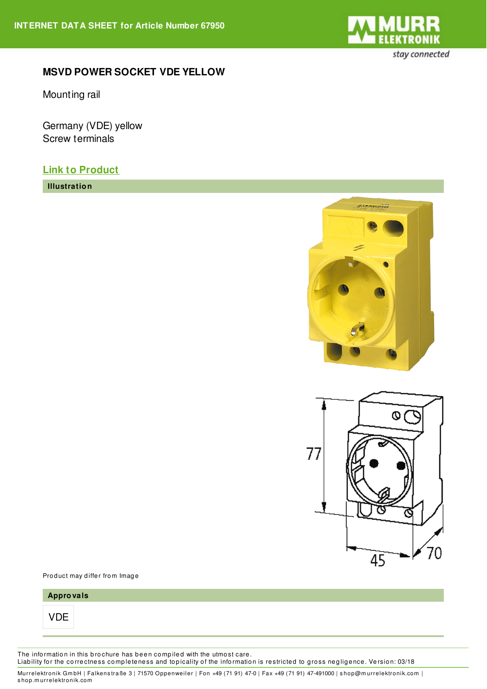

## **MSVD POWER SOCKET VDE YELLOW**

Mounting rail

Germany (VDE) yellow Screw terminals

## **Link to [Product](https://shop.murrelektronik.com/67950)**

**Illustration**





Product may differ from Image

| Approvals |  |  |  |
|-----------|--|--|--|
|           |  |  |  |
|           |  |  |  |

The information in this brochure has been compiled with the utmost care. Liability for the correctness completeness and topicality of the information is restricted to gross negligence. Version: 03/18

Murrelektronik GmbH | Falkenstraße 3 | 71570 Oppenweiler | Fon +49 (71 91) 47-0 | Fax +49 (71 91) 47-491000 | shop@murrelektronik.com | s hop.m urrelektronik.com